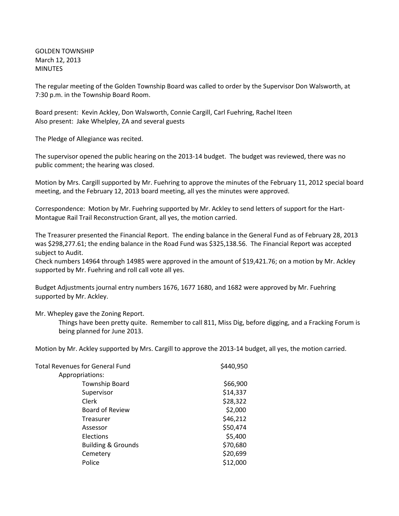GOLDEN TOWNSHIP March 12, 2013 MINUTES

The regular meeting of the Golden Township Board was called to order by the Supervisor Don Walsworth, at 7:30 p.m. in the Township Board Room.

Board present: Kevin Ackley, Don Walsworth, Connie Cargill, Carl Fuehring, Rachel Iteen Also present: Jake Whelpley, ZA and several guests

The Pledge of Allegiance was recited.

The supervisor opened the public hearing on the 2013-14 budget. The budget was reviewed, there was no public comment; the hearing was closed.

Motion by Mrs. Cargill supported by Mr. Fuehring to approve the minutes of the February 11, 2012 special board meeting, and the February 12, 2013 board meeting, all yes the minutes were approved.

Correspondence: Motion by Mr. Fuehring supported by Mr. Ackley to send letters of support for the Hart-Montague Rail Trail Reconstruction Grant, all yes, the motion carried.

The Treasurer presented the Financial Report. The ending balance in the General Fund as of February 28, 2013 was \$298,277.61; the ending balance in the Road Fund was \$325,138.56. The Financial Report was accepted subject to Audit.

Check numbers 14964 through 14985 were approved in the amount of \$19,421.76; on a motion by Mr. Ackley supported by Mr. Fuehring and roll call vote all yes.

Budget Adjustments journal entry numbers 1676, 1677 1680, and 1682 were approved by Mr. Fuehring supported by Mr. Ackley.

## Mr. Whepley gave the Zoning Report.

Things have been pretty quite. Remember to call 811, Miss Dig, before digging, and a Fracking Forum is being planned for June 2013.

Motion by Mr. Ackley supported by Mrs. Cargill to approve the 2013-14 budget, all yes, the motion carried.

| \$440,950 |
|-----------|
|           |
| \$66,900  |
| \$14,337  |
| \$28,322  |
| \$2,000   |
| \$46,212  |
| \$50,474  |
| \$5,400   |
| \$70,680  |
| \$20,699  |
| \$12,000  |
|           |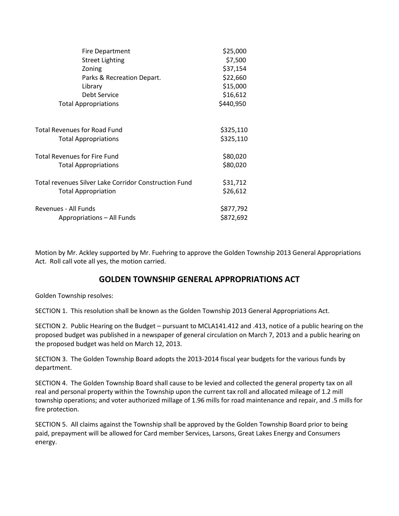| <b>Fire Department</b>                                       | \$25,000  |
|--------------------------------------------------------------|-----------|
| <b>Street Lighting</b>                                       | \$7,500   |
| Zoning                                                       | \$37,154  |
| Parks & Recreation Depart.                                   | \$22,660  |
| Library                                                      | \$15,000  |
| Debt Service                                                 | \$16,612  |
| <b>Total Appropriations</b>                                  | \$440,950 |
| <b>Total Revenues for Road Fund</b>                          | \$325,110 |
| <b>Total Appropriations</b>                                  | \$325,110 |
| <b>Total Revenues for Fire Fund</b>                          | \$80,020  |
| <b>Total Appropriations</b>                                  | \$80,020  |
| <b>Total revenues Silver Lake Corridor Construction Fund</b> | \$31,712  |
| <b>Total Appropriation</b>                                   | \$26,612  |
| Revenues - All Funds                                         | \$877,792 |
| Appropriations - All Funds                                   | \$872,692 |

Motion by Mr. Ackley supported by Mr. Fuehring to approve the Golden Township 2013 General Appropriations Act. Roll call vote all yes, the motion carried.

## **GOLDEN TOWNSHIP GENERAL APPROPRIATIONS ACT**

Golden Township resolves:

SECTION 1. This resolution shall be known as the Golden Township 2013 General Appropriations Act.

SECTION 2. Public Hearing on the Budget – pursuant to MCLA141.412 and .413, notice of a public hearing on the proposed budget was published in a newspaper of general circulation on March 7, 2013 and a public hearing on the proposed budget was held on March 12, 2013.

SECTION 3. The Golden Township Board adopts the 2013-2014 fiscal year budgets for the various funds by department.

SECTION 4. The Golden Township Board shall cause to be levied and collected the general property tax on all real and personal property within the Township upon the current tax roll and allocated mileage of 1.2 mill township operations; and voter authorized millage of 1.96 mills for road maintenance and repair, and .5 mills for fire protection.

SECTION 5. All claims against the Township shall be approved by the Golden Township Board prior to being paid, prepayment will be allowed for Card member Services, Larsons, Great Lakes Energy and Consumers energy.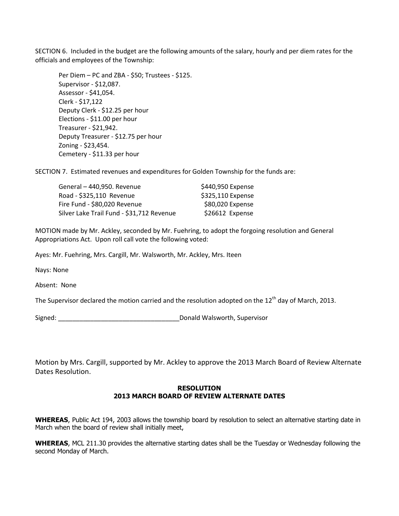SECTION 6. Included in the budget are the following amounts of the salary, hourly and per diem rates for the officials and employees of the Township:

Per Diem – PC and ZBA - \$50; Trustees - \$125. Supervisor - \$12,087. Assessor - \$41,054. Clerk - \$17,122 Deputy Clerk - \$12.25 per hour Elections - \$11.00 per hour Treasurer - \$21,942. Deputy Treasurer - \$12.75 per hour Zoning - \$23,454. Cemetery - \$11.33 per hour

SECTION 7. Estimated revenues and expenditures for Golden Township for the funds are:

| General - 440,950. Revenue                | \$440,950 Expense |
|-------------------------------------------|-------------------|
| Road - \$325,110 Revenue                  | \$325,110 Expense |
| Fire Fund - \$80,020 Revenue              | \$80,020 Expense  |
| Silver Lake Trail Fund - \$31,712 Revenue | \$26612 Expense   |

MOTION made by Mr. Ackley, seconded by Mr. Fuehring, to adopt the forgoing resolution and General Appropriations Act. Upon roll call vote the following voted:

Ayes: Mr. Fuehring, Mrs. Cargill, Mr. Walsworth, Mr. Ackley, Mrs. Iteen

Nays: None

Absent: None

The Supervisor declared the motion carried and the resolution adopted on the 12<sup>th</sup> day of March, 2013.

Signed: \_\_\_\_\_\_\_\_\_\_\_\_\_\_\_\_\_\_\_\_\_\_\_\_\_\_\_\_\_\_\_\_\_\_Donald Walsworth, Supervisor

Motion by Mrs. Cargill, supported by Mr. Ackley to approve the 2013 March Board of Review Alternate Dates Resolution.

## **RESOLUTION 2013 MARCH BOARD OF REVIEW ALTERNATE DATES**

**WHEREAS**, Public Act 194, 2003 allows the township board by resolution to select an alternative starting date in March when the board of review shall initially meet,

**WHEREAS**, MCL 211.30 provides the alternative starting dates shall be the Tuesday or Wednesday following the second Monday of March.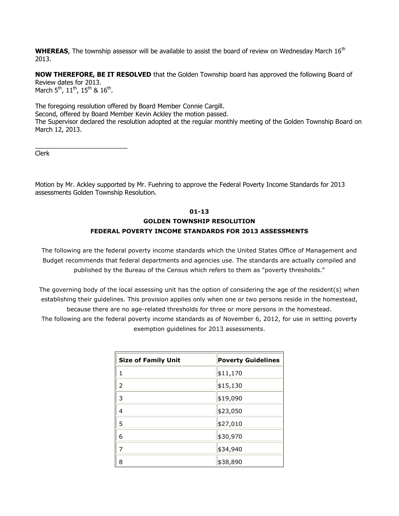**WHEREAS**, The township assessor will be available to assist the board of review on Wednesday March 16<sup>th</sup> 2013.

**NOW THEREFORE, BE IT RESOLVED** that the Golden Township board has approved the following Board of Review dates for 2013. March 5<sup>th</sup>, 11<sup>th</sup>, 15<sup>th</sup> & 16<sup>th</sup>.

The foregoing resolution offered by Board Member Connie Cargill. Second, offered by Board Member Kevin Ackley the motion passed. The Supervisor declared the resolution adopted at the regular monthly meeting of the Golden Township Board on March 12, 2013.

Clerk

\_\_\_\_\_\_\_\_\_\_\_\_\_\_\_\_\_\_\_\_\_\_\_\_\_\_

Motion by Mr. Ackley supported by Mr. Fuehring to approve the Federal Poverty Income Standards for 2013 assessments Golden Township Resolution.

## **01-13 GOLDEN TOWNSHIP RESOLUTION FEDERAL POVERTY INCOME STANDARDS FOR 2013 ASSESSMENTS**

The following are the federal poverty income standards which the United States Office of Management and Budget recommends that federal departments and agencies use. The standards are actually compiled and published by the Bureau of the Census which refers to them as "poverty thresholds."

The governing body of the local assessing unit has the option of considering the age of the resident(s) when establishing their guidelines. This provision applies only when one or two persons reside in the homestead, because there are no age-related thresholds for three or more persons in the homestead.

The following are the federal poverty income standards as of November 6, 2012, for use in setting poverty exemption guidelines for 2013 assessments.

| <b>Size of Family Unit</b> | <b>Poverty Guidelines</b> |
|----------------------------|---------------------------|
| 1                          | \$11,170                  |
| 2                          | \$15,130                  |
| 3                          | \$19,090                  |
| 4                          | \$23,050                  |
| 5                          | \$27,010                  |
| 6                          | \$30,970                  |
| 7                          | \$34,940                  |
| 8                          | \$38,890                  |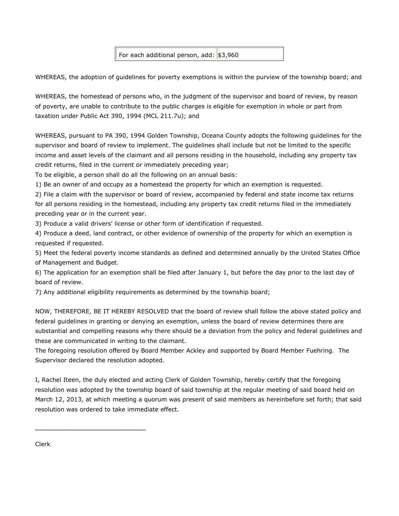For each additional person,  $add:$  \$3,960

WHEREAS, the adoption of guidelines for poverty exemptions is within the purview of the township board; and

WHEREAS, the homestead of persons who, in the judgment of the supervisor and board of review, by reason of poverty, are unable to contribute to the public charges is eligible for exemption in whole or part from taxation under Public Act 390, 1994 (MCL 211.7u); and

WHEREAS, pursuant to PA 390, 1994 Golden Township, Oceana County adopts the following guidelines for the supervisor and board of review to implement. The guidelines shall include but not be limited to the specific income and asset levels of the claimant and all persons residing in the household, including any property tax credit returns, filed in the current or immediately preceding year;

To be eligible, a person shall do all the following on an annual basis:

1) Be an owner of and occupy as a homestead the property for which an exemption is requested.

2) File a claim with the supervisor or board of review, accompanied by federal and state income tax returns for all persons residing in the homestead, including any property tax credit returns filed in the immediately preceding year or in the current year.

3) Produce a valid drivers' license or other form of identification if requested.

4) Produce a deed, land contract, or other evidence of ownership of the property for which an exemption is requested if requested.

5) Meet the federal poverty income standards as defined and determined annually by the United States Office of Management and Budget.

6) The application for an exemption shall be filed after January 1, but before the day prior to the last day of board of review.

7) Any additional eligibility requirements as determined by the township board;

NOW, THEREFORE, BE IT HEREBY RESOLVED that the board of review shall follow the above stated policy and federal guidelines in granting or denying an exemption, unless the board of review determines there are substantial and compelling reasons why there should be a deviation from the policy and federal guidelines and these are communicated in writing to the claimant.

The foregoing resolution offered by Board Member Ackley and supported by Board Member Fuehring. The Supervisor declared the resolution adopted.

I, Rachel Iteen, the duly elected and acting Clerk of Golden Township, hereby certify that the foregoing resolution was adopted by the township board of said township at the regular meeting of said board held on March 12, 2013, at which meeting a quorum was present of said members as hereinbefore set forth; that said resolution was ordered to take immediate effect.

Clerk

\_\_\_\_\_\_\_\_\_\_\_\_\_\_\_\_\_\_\_\_\_\_\_\_\_\_\_\_\_\_\_